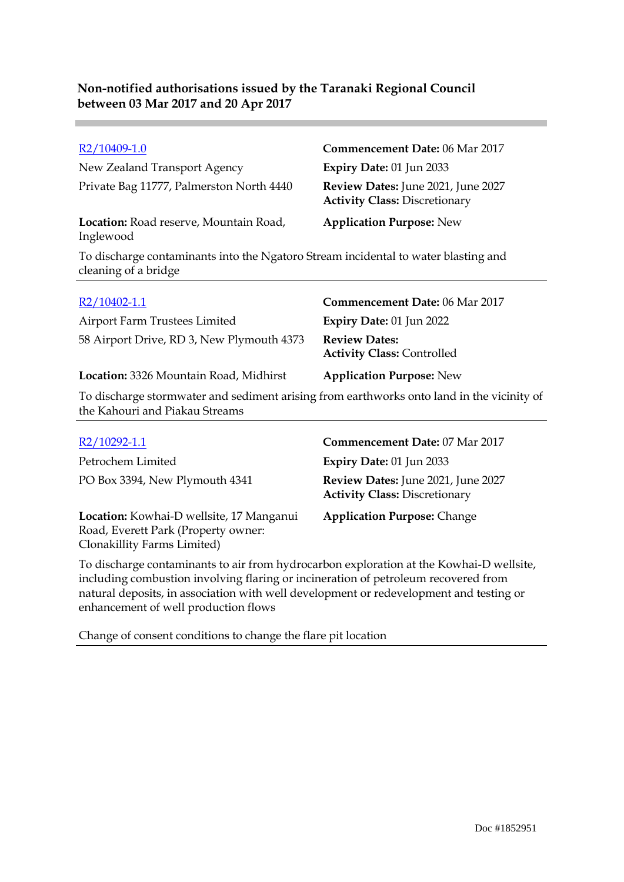### R2/10409-1.0 **Commencement Date:** 06 Mar 2017 New Zealand Transport Agency **Expiry Date:** 01 Jun 2033 Private Bag 11777, Palmerston North 4440 **Review Dates:** June 2021, June 2027 **Activity Class:** Discretionary **Location:** Road reserve, Mountain Road, Inglewood **Application Purpose:** New To discharge contaminants into the Ngatoro Stream incidental to water blasting and cleaning of a bridge

| $R2/10402-1.1$                                                                            | <b>Commencement Date: 06 Mar 2017</b>                     |
|-------------------------------------------------------------------------------------------|-----------------------------------------------------------|
| Airport Farm Trustees Limited                                                             | <b>Expiry Date: 01 Jun 2022</b>                           |
| 58 Airport Drive, RD 3, New Plymouth 4373                                                 | <b>Review Dates:</b><br><b>Activity Class: Controlled</b> |
| Location: 3326 Mountain Road, Midhirst                                                    | <b>Application Purpose: New</b>                           |
| To discharge stormwater and sediment arising from earthworks onto land in the vicinity of |                                                           |

the Kahouri and Piakau Streams

| R2/10292-1.1                                                                                                   | Commencement Date: 07 Mar 2017                                             |
|----------------------------------------------------------------------------------------------------------------|----------------------------------------------------------------------------|
| Petrochem Limited                                                                                              | <b>Expiry Date: 01 Jun 2033</b>                                            |
| PO Box 3394, New Plymouth 4341                                                                                 | Review Dates: June 2021, June 2027<br><b>Activity Class: Discretionary</b> |
| Location: Kowhai-D wellsite, 17 Manganui<br>Road, Everett Park (Property owner:<br>Clonakillity Farms Limited) | <b>Application Purpose: Change</b>                                         |

To discharge contaminants to air from hydrocarbon exploration at the Kowhai-D wellsite, including combustion involving flaring or incineration of petroleum recovered from natural deposits, in association with well development or redevelopment and testing or enhancement of well production flows

Change of consent conditions to change the flare pit location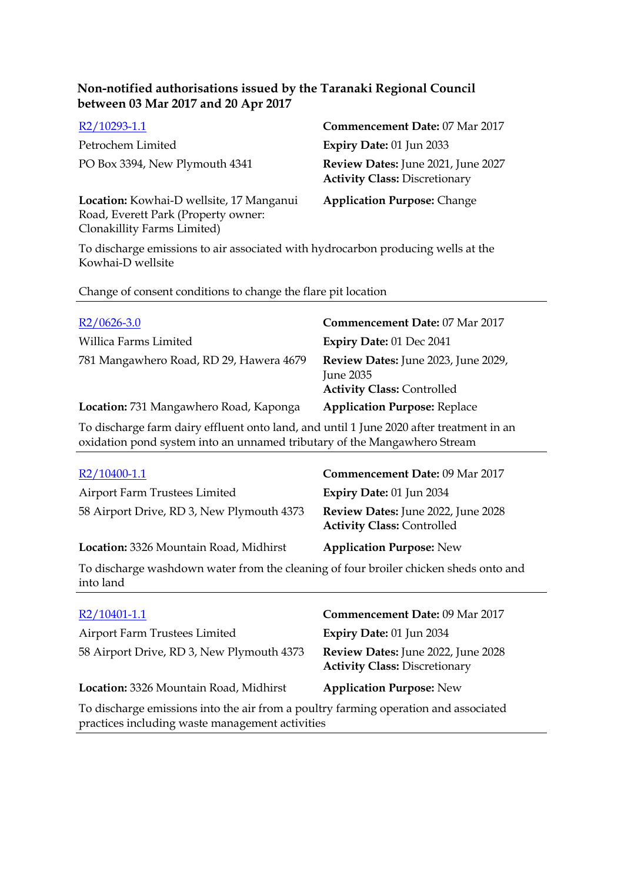| R2/10293-1.1                                                                    | Commencement Date: 07 Mar 2017                                             |
|---------------------------------------------------------------------------------|----------------------------------------------------------------------------|
| Petrochem Limited                                                               | <b>Expiry Date: 01 Jun 2033</b>                                            |
| PO Box 3394, New Plymouth 4341                                                  | Review Dates: June 2021, June 2027<br><b>Activity Class: Discretionary</b> |
| Location: Kowhai-D wellsite, 17 Manganui<br>Road, Everett Park (Property owner: | <b>Application Purpose: Change</b>                                         |

To discharge emissions to air associated with hydrocarbon producing wells at the Kowhai-D wellsite

Change of consent conditions to change the flare pit location

Clonakillity Farms Limited)

| $R2/0626-3.0$                           | Commencement Date: 07 Mar 2017                                                        |
|-----------------------------------------|---------------------------------------------------------------------------------------|
| Willica Farms Limited                   | <b>Expiry Date: 01 Dec 2041</b>                                                       |
| 781 Mangawhero Road, RD 29, Hawera 4679 | Review Dates: June 2023, June 2029,<br>June 2035<br><b>Activity Class: Controlled</b> |
| Location: 731 Mangawhero Road, Kaponga  | <b>Application Purpose: Replace</b>                                                   |

To discharge farm dairy effluent onto land, and until 1 June 2020 after treatment in an oxidation pond system into an unnamed tributary of the Mangawhero Stream

| R2/10400-1.1                              | Commencement Date: 09 Mar 2017                                          |
|-------------------------------------------|-------------------------------------------------------------------------|
| Airport Farm Trustees Limited             | <b>Expiry Date: 01 Jun 2034</b>                                         |
| 58 Airport Drive, RD 3, New Plymouth 4373 | Review Dates: June 2022, June 2028<br><b>Activity Class: Controlled</b> |
| Location: 3326 Mountain Road, Midhirst    | <b>Application Purpose: New</b>                                         |

To discharge washdown water from the cleaning of four broiler chicken sheds onto and into land

| R2/10401-1.1                                                                                                                           | Commencement Date: 09 Mar 2017                                             |
|----------------------------------------------------------------------------------------------------------------------------------------|----------------------------------------------------------------------------|
| Airport Farm Trustees Limited                                                                                                          | Expiry Date: 01 Jun 2034                                                   |
| 58 Airport Drive, RD 3, New Plymouth 4373                                                                                              | Review Dates: June 2022, June 2028<br><b>Activity Class: Discretionary</b> |
| Location: 3326 Mountain Road, Midhirst                                                                                                 | <b>Application Purpose: New</b>                                            |
| To discharge emissions into the air from a poultry farming operation and associated<br>practices including waste management activities |                                                                            |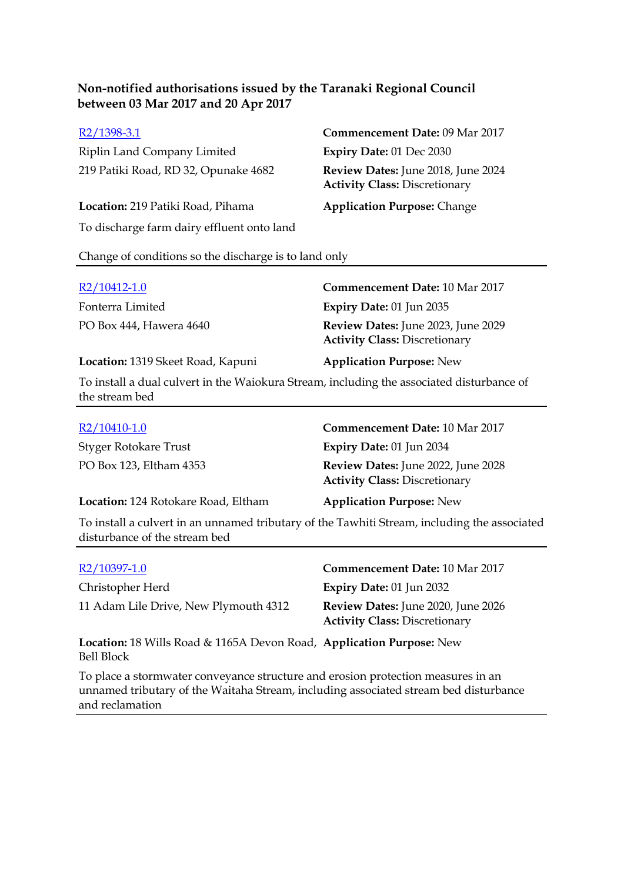Riplin Land Company Limited **Expiry Date:** 01 Dec 2030 219 Patiki Road, RD 32, Opunake 4682 **Review Dates:** June 2018, June 2024

**Location:** 219 Patiki Road, Pihama **Application Purpose:** Change To discharge farm dairy effluent onto land

R2/1398-3.1 **Commencement Date:** 09 Mar 2017 **Activity Class:** Discretionary

Change of conditions so the discharge is to land only

| R2/10412-1.0                      | <b>Commencement Date: 10 Mar 2017</b>                                      |
|-----------------------------------|----------------------------------------------------------------------------|
| Fonterra Limited                  | Expiry Date: $01$ Jun 2035                                                 |
| PO Box 444, Hawera 4640           | Review Dates: June 2023, June 2029<br><b>Activity Class: Discretionary</b> |
| Location: 1319 Skeet Road, Kapuni | <b>Application Purpose: New</b>                                            |

To install a dual culvert in the Waiokura Stream, including the associated disturbance of the stream bed

| $R2/10410-1.0$                      | <b>Commencement Date: 10 Mar 2017</b>                                      |
|-------------------------------------|----------------------------------------------------------------------------|
| Styger Rotokare Trust               | <b>Expiry Date: 01 Jun 2034</b>                                            |
| PO Box 123, Eltham 4353             | Review Dates: June 2022, June 2028<br><b>Activity Class: Discretionary</b> |
| Location: 124 Rotokare Road, Eltham | <b>Application Purpose: New</b>                                            |

To install a culvert in an unnamed tributary of the Tawhiti Stream, including the associated disturbance of the stream bed

| R2/10397-1.0                                                                       | <b>Commencement Date: 10 Mar 2017</b>                                      |
|------------------------------------------------------------------------------------|----------------------------------------------------------------------------|
| Christopher Herd                                                                   | Expiry Date: $01$ Jun 2032                                                 |
| 11 Adam Lile Drive, New Plymouth 4312                                              | Review Dates: June 2020, June 2026<br><b>Activity Class: Discretionary</b> |
| Location: 18 Wills Road & 1165A Devon Road, Application Purpose: New<br>Bell Block |                                                                            |

To place a stormwater conveyance structure and erosion protection measures in an unnamed tributary of the Waitaha Stream, including associated stream bed disturbance and reclamation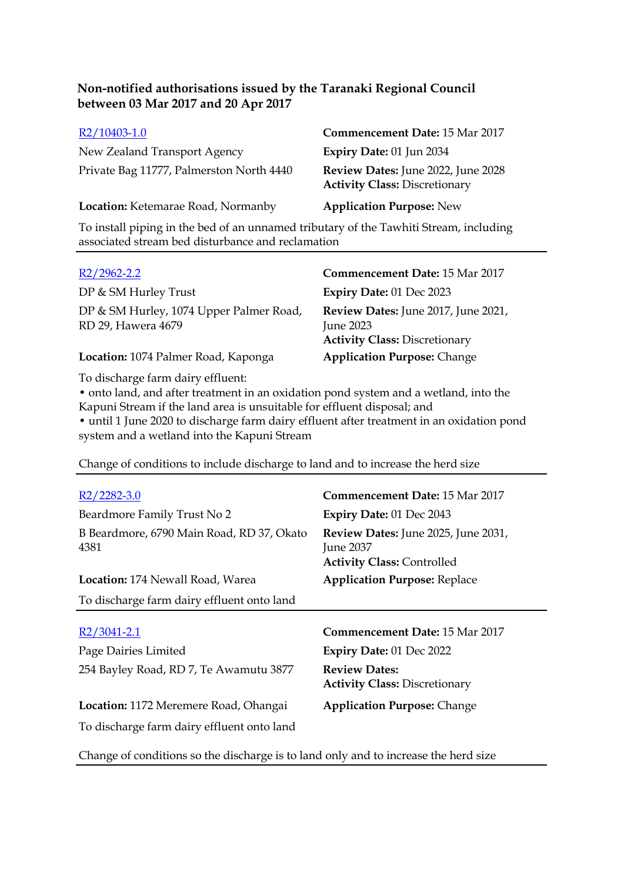| R2/10403-1.0                             | <b>Commencement Date: 15 Mar 2017</b>                                      |
|------------------------------------------|----------------------------------------------------------------------------|
| New Zealand Transport Agency             | Expiry Date: 01 Jun 2034                                                   |
| Private Bag 11777, Palmerston North 4440 | Review Dates: June 2022, June 2028<br><b>Activity Class: Discretionary</b> |
| Location: Ketemarae Road, Normanby       | <b>Application Purpose: New</b>                                            |

To install piping in the bed of an unnamed tributary of the Tawhiti Stream, including associated stream bed disturbance and reclamation

| $R2/2962 - 2.2$                                               | <b>Commencement Date: 15 Mar 2017</b>                                                    |
|---------------------------------------------------------------|------------------------------------------------------------------------------------------|
| DP & SM Hurley Trust                                          | <b>Expiry Date: 01 Dec 2023</b>                                                          |
| DP & SM Hurley, 1074 Upper Palmer Road,<br>RD 29, Hawera 4679 | Review Dates: June 2017, June 2021,<br>June 2023<br><b>Activity Class: Discretionary</b> |
| Location: 1074 Palmer Road, Kaponga                           | <b>Application Purpose: Change</b>                                                       |

To discharge farm dairy effluent:

• onto land, and after treatment in an oxidation pond system and a wetland, into the Kapuni Stream if the land area is unsuitable for effluent disposal; and • until 1 June 2020 to discharge farm dairy effluent after treatment in an oxidation pond system and a wetland into the Kapuni Stream

Change of conditions to include discharge to land and to increase the herd size

| $R2/2282-3.0$                                     | <b>Commencement Date: 15 Mar 2017</b>                                                               |
|---------------------------------------------------|-----------------------------------------------------------------------------------------------------|
| Beardmore Family Trust No 2                       | Expiry Date: 01 Dec 2043                                                                            |
| B Beardmore, 6790 Main Road, RD 37, Okato<br>4381 | <b>Review Dates:</b> June 2025, June 2031,<br><b>June 2037</b><br><b>Activity Class: Controlled</b> |
| <b>Location:</b> 174 Newall Road, Warea           | <b>Application Purpose: Replace</b>                                                                 |
| To discharge farm dairy effluent onto land        |                                                                                                     |
|                                                   |                                                                                                     |
| $R2/3041-2.1$                                     | <b>Commencement Date: 15 Mar 2017</b>                                                               |
| Page Dairies Limited                              | Expiry Date: 01 Dec 2022                                                                            |
| 254 Bayley Road, RD 7, Te Awamutu 3877            | <b>Review Dates:</b><br><b>Activity Class: Discretionary</b>                                        |
|                                                   |                                                                                                     |
| Location: 1172 Meremere Road, Ohangai             | <b>Application Purpose: Change</b>                                                                  |

Change of conditions so the discharge is to land only and to increase the herd size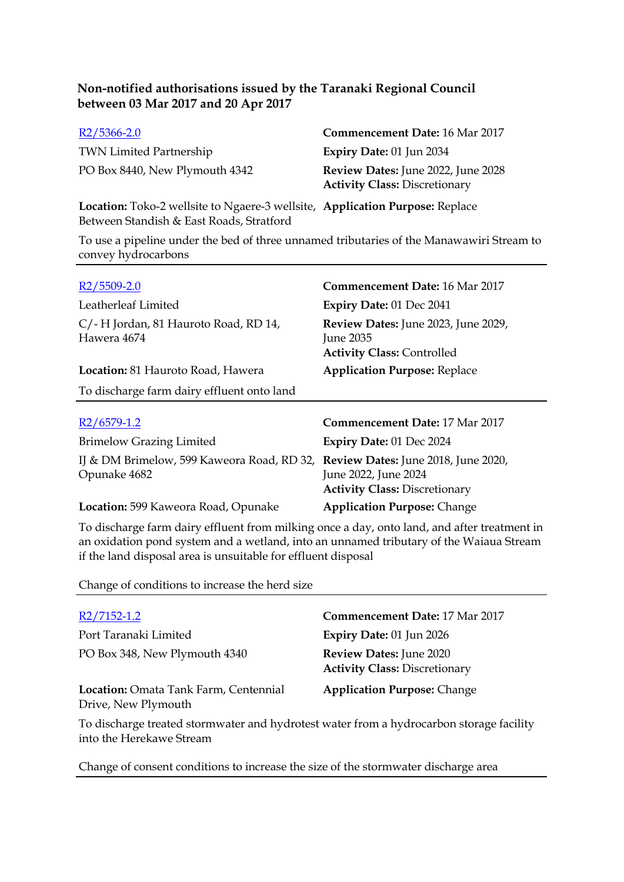| $R2/5366 - 2.0$                | <b>Commencement Date: 16 Mar 2017</b>                                             |
|--------------------------------|-----------------------------------------------------------------------------------|
| <b>TWN Limited Partnership</b> | Expiry Date: $01$ Jun 2034                                                        |
| PO Box 8440, New Plymouth 4342 | <b>Review Dates:</b> June 2022, June 2028<br><b>Activity Class: Discretionary</b> |

**Location:** Toko-2 wellsite to Ngaere-3 wellsite, **Application Purpose:** Replace Between Standish & East Roads, Stratford

To use a pipeline under the bed of three unnamed tributaries of the Manawawiri Stream to convey hydrocarbons

| $R2/5509-2.0$                                              | <b>Commencement Date: 16 Mar 2017</b>                                                               |
|------------------------------------------------------------|-----------------------------------------------------------------------------------------------------|
| Leatherleaf Limited                                        | <b>Expiry Date: 01 Dec 2041</b>                                                                     |
| C/-H Jordan, 81 Hauroto Road, RD 14,<br>Hawera 4674        | Review Dates: June 2023, June 2029,<br>June 2035<br><b>Activity Class: Controlled</b>               |
| Location: 81 Hauroto Road, Hawera                          | <b>Application Purpose: Replace</b>                                                                 |
| To discharge farm dairy effluent onto land                 |                                                                                                     |
|                                                            |                                                                                                     |
| $R2/6579-1.2$                                              | <b>Commencement Date: 17 Mar 2017</b>                                                               |
| <b>Brimelow Grazing Limited</b>                            | <b>Expiry Date: 01 Dec 2024</b>                                                                     |
| IJ & DM Brimelow, 599 Kaweora Road, RD 32,<br>Opunake 4682 | Review Dates: June 2018, June 2020,<br>June 2022, June 2024<br><b>Activity Class: Discretionary</b> |
| Location: 599 Kaweora Road, Opunake                        | <b>Application Purpose: Change</b>                                                                  |

To discharge farm dairy effluent from milking once a day, onto land, and after treatment in an oxidation pond system and a wetland, into an unnamed tributary of the Waiaua Stream if the land disposal area is unsuitable for effluent disposal

Change of conditions to increase the herd size

| R2/7152-1.2                                                                                                         | <b>Commencement Date: 17 Mar 2017</b>                           |
|---------------------------------------------------------------------------------------------------------------------|-----------------------------------------------------------------|
| Port Taranaki Limited                                                                                               | Expiry Date: 01 Jun 2026                                        |
| PO Box 348, New Plymouth 4340                                                                                       | Review Dates: June 2020<br><b>Activity Class: Discretionary</b> |
| Location: Omata Tank Farm, Centennial<br>Drive, New Plymouth                                                        | <b>Application Purpose: Change</b>                              |
| To discharge treated stormwater and hydrotest water from a hydrocarbon storage facility<br>into the Herekawe Stream |                                                                 |

Change of consent conditions to increase the size of the stormwater discharge area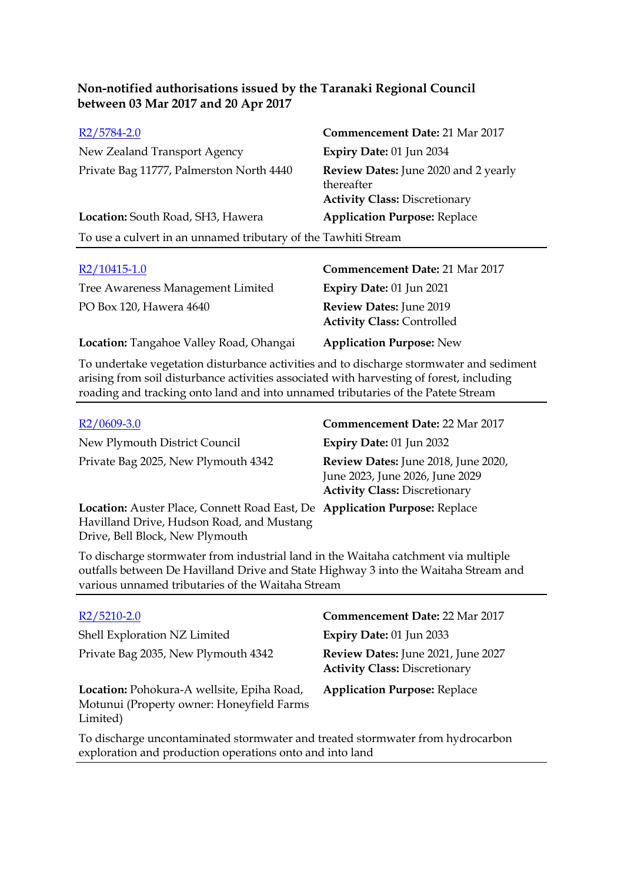| R <sub>2</sub> /5784-2.0                                       | <b>Commencement Date: 21 Mar 2017</b>                                                      |
|----------------------------------------------------------------|--------------------------------------------------------------------------------------------|
| New Zealand Transport Agency                                   | Expiry Date: 01 Jun 2034                                                                   |
| Private Bag 11777, Palmerston North 4440                       | Review Dates: June 2020 and 2 yearly<br>thereafter<br><b>Activity Class: Discretionary</b> |
| Location: South Road, SH3, Hawera                              | <b>Application Purpose: Replace</b>                                                        |
| To use a culvert in an unnamed tributary of the Tawhiti Stream |                                                                                            |
|                                                                |                                                                                            |

| $R2/10415-1.0$                          | <b>Commencement Date: 21 Mar 2017</b>                        |
|-----------------------------------------|--------------------------------------------------------------|
| Tree Awareness Management Limited       | <b>Expiry Date: 01 Jun 2021</b>                              |
| PO Box 120, Hawera 4640                 | Review Dates: June 2019<br><b>Activity Class: Controlled</b> |
| Location: Tangahoe Valley Road, Ohangai | <b>Application Purpose: New</b>                              |

To undertake vegetation disturbance activities and to discharge stormwater and sediment arising from soil disturbance activities associated with harvesting of forest, including roading and tracking onto land and into unnamed tributaries of the Patete Stream

| $R2/0609-3.0$                                                                                                           | <b>Commencement Date: 22 Mar 2017</b>                                                                          |
|-------------------------------------------------------------------------------------------------------------------------|----------------------------------------------------------------------------------------------------------------|
| New Plymouth District Council                                                                                           | <b>Expiry Date: 01 Jun 2032</b>                                                                                |
| Private Bag 2025, New Plymouth 4342                                                                                     | Review Dates: June 2018, June 2020,<br>June 2023, June 2026, June 2029<br><b>Activity Class: Discretionary</b> |
| Location: Auster Place, Connett Road East, De Application Purpose: Replace<br>Havilland Drive, Hudson Road, and Mustang |                                                                                                                |

To discharge stormwater from industrial land in the Waitaha catchment via multiple outfalls between De Havilland Drive and State Highway 3 into the Waitaha Stream and various unnamed tributaries of the Waitaha Stream

Drive, Bell Block, New Plymouth

| R <sub>2</sub> /5210-2.0                                                                                                                   | <b>Commencement Date: 22 Mar 2017</b>                                      |
|--------------------------------------------------------------------------------------------------------------------------------------------|----------------------------------------------------------------------------|
| Shell Exploration NZ Limited                                                                                                               | Expiry Date: $01$ Jun 2033                                                 |
| Private Bag 2035, New Plymouth 4342                                                                                                        | Review Dates: June 2021, June 2027<br><b>Activity Class: Discretionary</b> |
| Location: Pohokura-A wellsite, Epiha Road,<br>Motunui (Property owner: Honeyfield Farms<br>Limited)                                        | <b>Application Purpose: Replace</b>                                        |
| To discharge uncontaminated stormwater and treated stormwater from hydrocarbon<br>exploration and production operations onto and into land |                                                                            |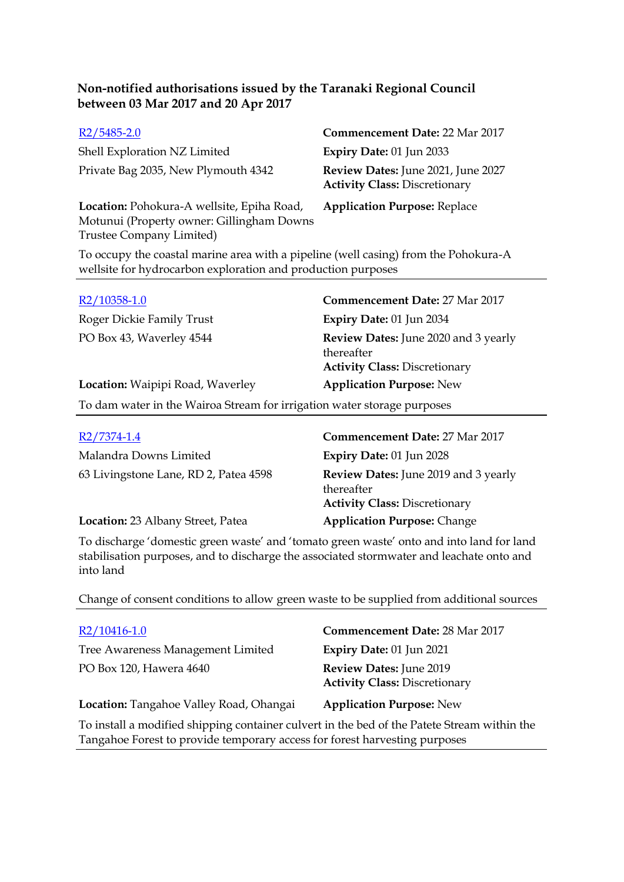| $R2/5485-2.0$                                                                                                                                       | <b>Commencement Date: 22 Mar 2017</b>                                      |
|-----------------------------------------------------------------------------------------------------------------------------------------------------|----------------------------------------------------------------------------|
| Shell Exploration NZ Limited                                                                                                                        | Expiry Date: 01 Jun 2033                                                   |
| Private Bag 2035, New Plymouth 4342                                                                                                                 | Review Dates: June 2021, June 2027<br><b>Activity Class: Discretionary</b> |
| Location: Pohokura-A wellsite, Epiha Road,<br>Motunui (Property owner: Gillingham Downs<br>Trustee Company Limited)                                 | <b>Application Purpose: Replace</b>                                        |
| To occupy the coastal marine area with a pipeline (well casing) from the Pohokura-A<br>wellsite for hydrocarbon exploration and production purposes |                                                                            |

| R2/10358-1.0                     | <b>Commencement Date: 27 Mar 2017</b>                                                      |
|----------------------------------|--------------------------------------------------------------------------------------------|
| Roger Dickie Family Trust        | Expiry Date: 01 Jun 2034                                                                   |
| PO Box 43, Waverley 4544         | Review Dates: June 2020 and 3 yearly<br>thereafter<br><b>Activity Class: Discretionary</b> |
| Location: Waipipi Road, Waverley | <b>Application Purpose: New</b>                                                            |
|                                  |                                                                                            |

To dam water in the Wairoa Stream for irrigation water storage purposes

| R2/7374-1.4                           | <b>Commencement Date: 27 Mar 2017</b>                                                             |
|---------------------------------------|---------------------------------------------------------------------------------------------------|
| Malandra Downs Limited                | Expiry Date: 01 Jun 2028                                                                          |
| 63 Livingstone Lane, RD 2, Patea 4598 | <b>Review Dates:</b> June 2019 and 3 yearly<br>thereafter<br><b>Activity Class: Discretionary</b> |
| Location: 23 Albany Street, Patea     | <b>Application Purpose: Change</b>                                                                |

To discharge 'domestic green waste' and 'tomato green waste' onto and into land for land stabilisation purposes, and to discharge the associated stormwater and leachate onto and into land

Change of consent conditions to allow green waste to be supplied from additional sources

| R2/10416-1.0                                                                                                                                                              | <b>Commencement Date: 28 Mar 2017</b>                           |
|---------------------------------------------------------------------------------------------------------------------------------------------------------------------------|-----------------------------------------------------------------|
| Tree Awareness Management Limited                                                                                                                                         | Expiry Date: 01 Jun 2021                                        |
| PO Box 120, Hawera 4640                                                                                                                                                   | Review Dates: June 2019<br><b>Activity Class: Discretionary</b> |
| Location: Tangahoe Valley Road, Ohangai                                                                                                                                   | <b>Application Purpose: New</b>                                 |
| To install a modified shipping container culvert in the bed of the Patete Stream within the<br>Tangahoe Forest to provide temporary access for forest harvesting purposes |                                                                 |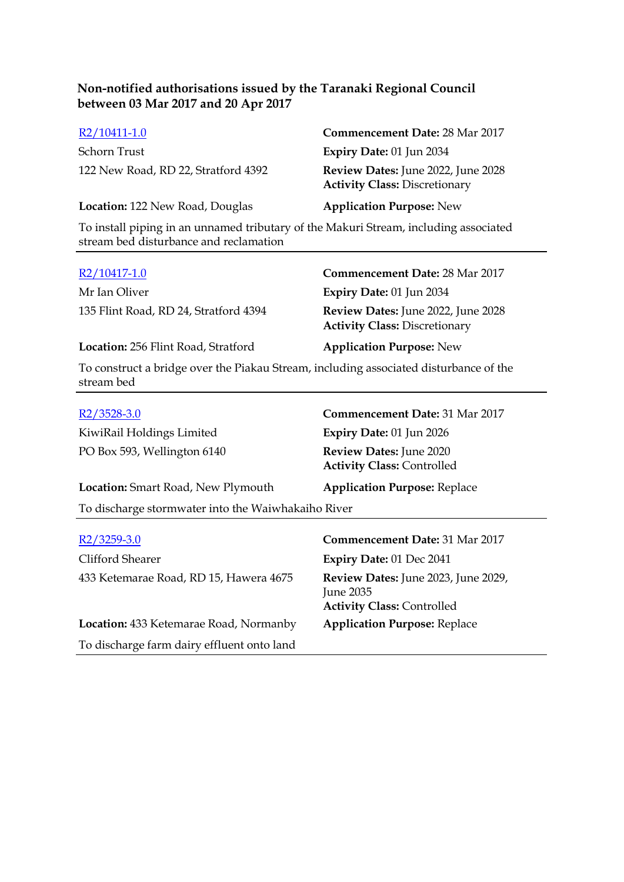| R2/10411-1.0                                                                         | <b>Commencement Date: 28 Mar 2017</b>                                      |
|--------------------------------------------------------------------------------------|----------------------------------------------------------------------------|
| Schorn Trust                                                                         | Expiry Date: 01 Jun 2034                                                   |
| 122 New Road, RD 22, Stratford 4392                                                  | Review Dates: June 2022, June 2028<br><b>Activity Class: Discretionary</b> |
| Location: 122 New Road, Douglas                                                      | <b>Application Purpose: New</b>                                            |
| To install piping in an unnamed tributary of the Makuri Stream, including associated |                                                                            |

stream bed disturbance and reclamation

stream bed

| R2/10417-1.0                                                                          | <b>Commencement Date: 28 Mar 2017</b>                                      |
|---------------------------------------------------------------------------------------|----------------------------------------------------------------------------|
| Mr Ian Oliver                                                                         | <b>Expiry Date: 01 Jun 2034</b>                                            |
| 135 Flint Road, RD 24, Stratford 4394                                                 | Review Dates: June 2022, June 2028<br><b>Activity Class: Discretionary</b> |
| Location: 256 Flint Road, Stratford                                                   | <b>Application Purpose: New</b>                                            |
| To construct a bridge over the Piakau Stream, including associated disturbance of the |                                                                            |

| $R2/3528-3.0$                                      | <b>Commencement Date: 31 Mar 2017</b>                                                        |  |  |
|----------------------------------------------------|----------------------------------------------------------------------------------------------|--|--|
| KiwiRail Holdings Limited                          | Expiry Date: 01 Jun 2026                                                                     |  |  |
| PO Box 593, Wellington 6140                        | Review Dates: June 2020<br><b>Activity Class: Controlled</b>                                 |  |  |
| <b>Location:</b> Smart Road, New Plymouth          | <b>Application Purpose: Replace</b>                                                          |  |  |
| To discharge stormwater into the Waiwhakaiho River |                                                                                              |  |  |
|                                                    |                                                                                              |  |  |
| R <sub>2</sub> /3259-3.0                           | <b>Commencement Date: 31 Mar 2017</b>                                                        |  |  |
| Clifford Shearer                                   | <b>Expiry Date: 01 Dec 2041</b>                                                              |  |  |
| 433 Ketemarae Road, RD 15, Hawera 4675             | Review Dates: June 2023, June 2029,<br><b>June 2035</b><br><b>Activity Class: Controlled</b> |  |  |
| <b>Location:</b> 433 Ketemarae Road, Normanby      | <b>Application Purpose: Replace</b>                                                          |  |  |
| To discharge farm dairy effluent onto land         |                                                                                              |  |  |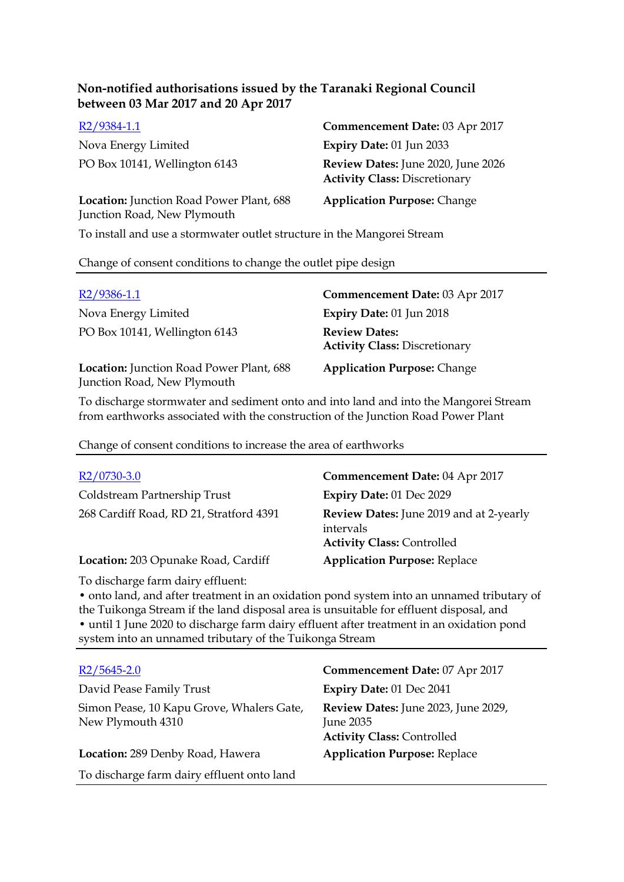| $R2/9384-1.1$                                                           | Commencement Date: 03 Apr 2017                                             |
|-------------------------------------------------------------------------|----------------------------------------------------------------------------|
| Nova Energy Limited                                                     | <b>Expiry Date: 01 Jun 2033</b>                                            |
| PO Box 10141, Wellington 6143                                           | Review Dates: June 2020, June 2026<br><b>Activity Class: Discretionary</b> |
| Location: Junction Road Power Plant, 688<br>Junction Road, New Plymouth | <b>Application Purpose: Change</b>                                         |

To install and use a stormwater outlet structure in the Mangorei Stream

#### Change of consent conditions to change the outlet pipe design

| $R2/9386-1.1$                                                           | Commencement Date: 03 Apr 2017                               |
|-------------------------------------------------------------------------|--------------------------------------------------------------|
| Nova Energy Limited                                                     | Expiry Date: 01 Jun 2018                                     |
| PO Box 10141, Wellington 6143                                           | <b>Review Dates:</b><br><b>Activity Class: Discretionary</b> |
| Location: Junction Road Power Plant, 688<br>Junction Road, New Plymouth | <b>Application Purpose: Change</b>                           |

To discharge stormwater and sediment onto and into land and into the Mangorei Stream from earthworks associated with the construction of the Junction Road Power Plant

Change of consent conditions to increase the area of earthworks

| $R2/0730-3.0$                           | Commencement Date: 04 Apr 2017                                                                   |
|-----------------------------------------|--------------------------------------------------------------------------------------------------|
| Coldstream Partnership Trust            | Expiry Date: 01 Dec 2029                                                                         |
| 268 Cardiff Road, RD 21, Stratford 4391 | <b>Review Dates:</b> June 2019 and at 2-yearly<br>intervals<br><b>Activity Class: Controlled</b> |
| Location: 203 Opunake Road, Cardiff     | <b>Application Purpose: Replace</b>                                                              |

To discharge farm dairy effluent:

• onto land, and after treatment in an oxidation pond system into an unnamed tributary of the Tuikonga Stream if the land disposal area is unsuitable for effluent disposal, and • until 1 June 2020 to discharge farm dairy effluent after treatment in an oxidation pond system into an unnamed tributary of the Tuikonga Stream

| $R2/5645-2.0$                                                  | Commencement Date: 07 Apr 2017                                                        |
|----------------------------------------------------------------|---------------------------------------------------------------------------------------|
| David Pease Family Trust                                       | Expiry Date: 01 Dec 2041                                                              |
| Simon Pease, 10 Kapu Grove, Whalers Gate,<br>New Plymouth 4310 | Review Dates: June 2023, June 2029,<br>June 2035<br><b>Activity Class: Controlled</b> |
| Location: 289 Denby Road, Hawera                               | <b>Application Purpose: Replace</b>                                                   |
| To discharge farm dairy effluent onto land                     |                                                                                       |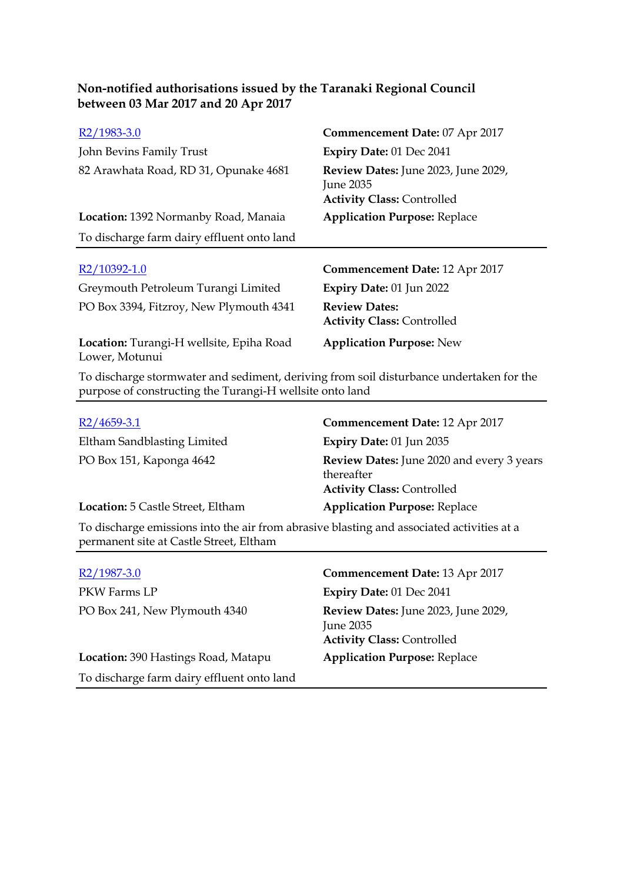| R <sub>2</sub> /1983-3.0                                   | Commencement Date: 07 Apr 2017                                                        |
|------------------------------------------------------------|---------------------------------------------------------------------------------------|
| John Bevins Family Trust                                   | Expiry Date: 01 Dec 2041                                                              |
| 82 Arawhata Road, RD 31, Opunake 4681                      | Review Dates: June 2023, June 2029,<br>June 2035<br><b>Activity Class: Controlled</b> |
| Location: 1392 Normanby Road, Manaia                       | <b>Application Purpose: Replace</b>                                                   |
| To discharge farm dairy effluent onto land                 |                                                                                       |
|                                                            |                                                                                       |
| R2/10392-1.0                                               |                                                                                       |
|                                                            | Commencement Date: 12 Apr 2017                                                        |
| Greymouth Petroleum Turangi Limited                        | Expiry Date: 01 Jun 2022                                                              |
| PO Box 3394, Fitzroy, New Plymouth 4341                    | <b>Review Dates:</b><br><b>Activity Class: Controlled</b>                             |
| Location: Turangi-H wellsite, Epiha Road<br>Lower, Motunui | <b>Application Purpose: New</b>                                                       |

| $R2/4659-3.1$                     | Commencement Date: 12 Apr 2017                                                                      |
|-----------------------------------|-----------------------------------------------------------------------------------------------------|
| Eltham Sandblasting Limited       | Expiry Date: 01 Jun 2035                                                                            |
| PO Box 151, Kaponga 4642          | <b>Review Dates:</b> June 2020 and every 3 years<br>thereafter<br><b>Activity Class: Controlled</b> |
| Location: 5 Castle Street, Eltham | <b>Application Purpose: Replace</b>                                                                 |

To discharge emissions into the air from abrasive blasting and associated activities at a permanent site at Castle Street, Eltham

| $R2/1987-3.0$                              | Commencement Date: 13 Apr 2017                                                        |
|--------------------------------------------|---------------------------------------------------------------------------------------|
| PKW Farms LP                               | Expiry Date: 01 Dec 2041                                                              |
| PO Box 241, New Plymouth 4340              | Review Dates: June 2023, June 2029,<br>June 2035<br><b>Activity Class: Controlled</b> |
| Location: 390 Hastings Road, Matapu        | <b>Application Purpose: Replace</b>                                                   |
| To discharge farm dairy effluent onto land |                                                                                       |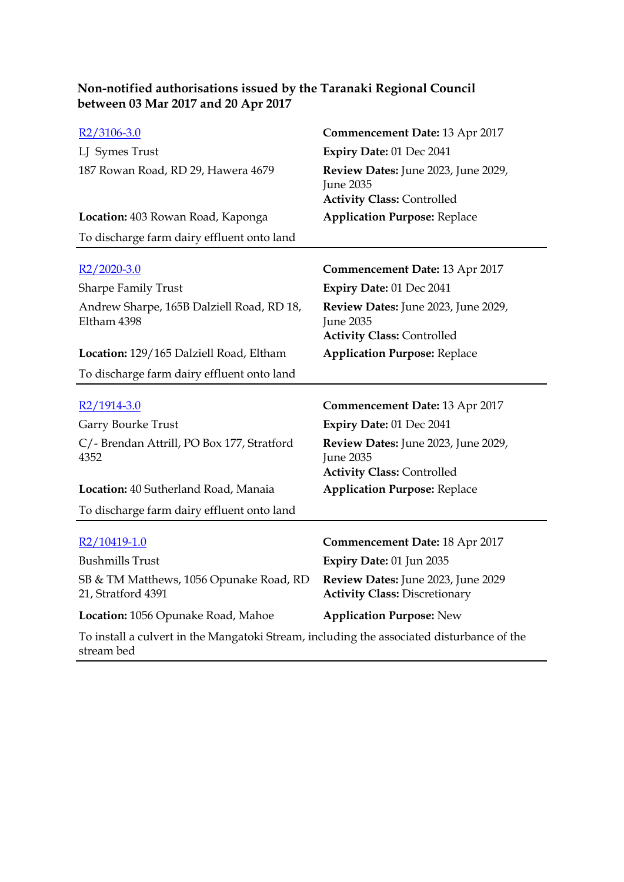| Non-notified authorisations issued by the Taranaki Regional Council |  |
|---------------------------------------------------------------------|--|
| between 03 Mar 2017 and 20 Apr 2017                                 |  |

| $R2/3106-3.0$                                            | Commencement Date: 13 Apr 2017                                                               |
|----------------------------------------------------------|----------------------------------------------------------------------------------------------|
| LJ Symes Trust                                           | Expiry Date: 01 Dec 2041                                                                     |
| 187 Rowan Road, RD 29, Hawera 4679                       | Review Dates: June 2023, June 2029,<br><b>June 2035</b><br><b>Activity Class: Controlled</b> |
| Location: 403 Rowan Road, Kaponga                        | <b>Application Purpose: Replace</b>                                                          |
| To discharge farm dairy effluent onto land               |                                                                                              |
| $R2/2020-3.0$                                            | <b>Commencement Date: 13 Apr 2017</b>                                                        |
| <b>Sharpe Family Trust</b>                               | Expiry Date: 01 Dec 2041                                                                     |
| Andrew Sharpe, 165B Dalziell Road, RD 18,<br>Eltham 4398 | Review Dates: June 2023, June 2029,<br><b>June 2035</b><br><b>Activity Class: Controlled</b> |
| Location: 129/165 Dalziell Road, Eltham                  | <b>Application Purpose: Replace</b>                                                          |
| To discharge farm dairy effluent onto land               |                                                                                              |
| $R2/1914-3.0$                                            | <b>Commencement Date: 13 Apr 2017</b>                                                        |
| Garry Bourke Trust                                       | Expiry Date: 01 Dec 2041                                                                     |
| C/- Brendan Attrill, PO Box 177, Stratford<br>4352       | Review Dates: June 2023, June 2029,<br><b>June 2035</b><br><b>Activity Class: Controlled</b> |
| Location: 40 Sutherland Road, Manaia                     | <b>Application Purpose: Replace</b>                                                          |
| To discharge farm dairy effluent onto land               |                                                                                              |
| R2/10419-1.0                                             | <b>Commencement Date: 18 Apr 2017</b>                                                        |
| <b>Bushmills Trust</b>                                   | Expiry Date: 01 Jun 2035                                                                     |
| SB & TM Matthews, 1056 Opunake Road, RD                  |                                                                                              |
| 21, Stratford 4391                                       | Review Dates: June 2023, June 2029<br><b>Activity Class: Discretionary</b>                   |
| Location: 1056 Opunake Road, Mahoe                       | <b>Application Purpose: New</b>                                                              |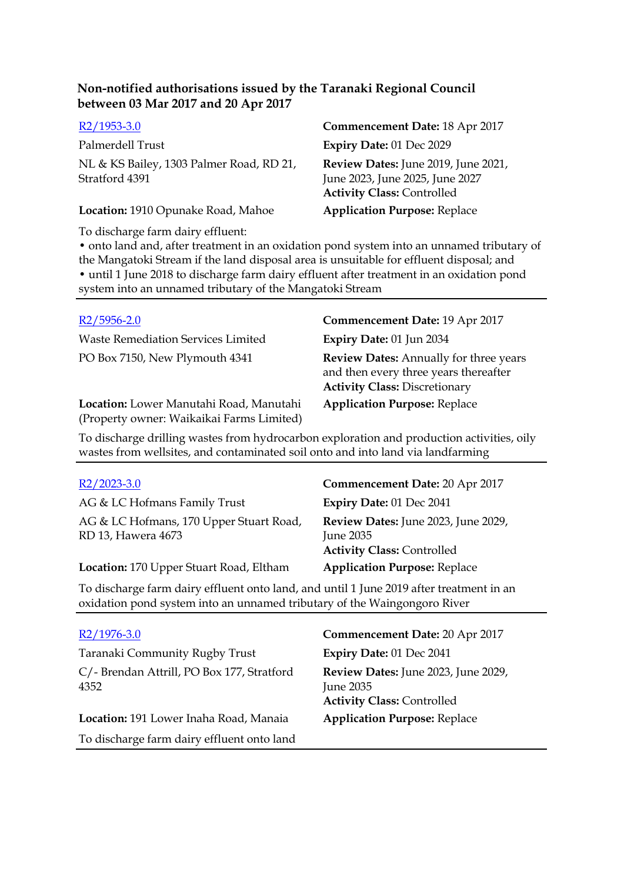| Non-notified authorisations issued by the Taranaki Regional Council |  |  |
|---------------------------------------------------------------------|--|--|
| between 03 Mar 2017 and 20 Apr 2017                                 |  |  |
| $\frac{1}{2}$                                                       |  |  |

| Palmerdell Trust                         | <b>Expiry Dat</b>          |
|------------------------------------------|----------------------------|
| NL & KS Bailey, 1303 Palmer Road, RD 21, | <b>Review Da</b>           |
| Stratford 4391                           | June 2023,                 |
|                                          | $\Lambda$ ativity $\Gamma$ |

**Location:** 1910 Opunake Road, Mahoe **Application Purpose:** Replace

## R2/1953-3.0 **Commencement Date:** 18 Apr 2017 Palmerdell Trust **Expiry Date:** 01 Dec 2029 **Review Dates:** June 2019, June 2021, June 2023, June 2025, June 2027 **Activity Class:** Controlled

To discharge farm dairy effluent:

• onto land and, after treatment in an oxidation pond system into an unnamed tributary of the Mangatoki Stream if the land disposal area is unsuitable for effluent disposal; and • until 1 June 2018 to discharge farm dairy effluent after treatment in an oxidation pond system into an unnamed tributary of the Mangatoki Stream

Waste Remediation Services Limited **Expiry Date:** 01 Jun 2034

**Location:** Lower Manutahi Road, Manutahi (Property owner: Waikaikai Farms Limited)

R2/5956-2.0 **Commencement Date:** 19 Apr 2017

PO Box 7150, New Plymouth 4341 **Review Dates:** Annually for three years and then every three years thereafter **Activity Class:** Discretionary

**Application Purpose:** Replace

To discharge drilling wastes from hydrocarbon exploration and production activities, oily wastes from wellsites, and contaminated soil onto and into land via landfarming

| $R2/2023-3.0$                                                                                                                                                       | Commencement Date: 20 Apr 2017                                                        |  |
|---------------------------------------------------------------------------------------------------------------------------------------------------------------------|---------------------------------------------------------------------------------------|--|
| AG & LC Hofmans Family Trust                                                                                                                                        | Expiry Date: 01 Dec 2041                                                              |  |
| AG & LC Hofmans, 170 Upper Stuart Road,<br>RD 13, Hawera 4673                                                                                                       | Review Dates: June 2023, June 2029,<br>June 2035<br><b>Activity Class: Controlled</b> |  |
| Location: 170 Upper Stuart Road, Eltham                                                                                                                             | <b>Application Purpose: Replace</b>                                                   |  |
| To discharge farm dairy effluent onto land, and until 1 June 2019 after treatment in an<br>oxidation pond system into an unnamed tributary of the Waingongoro River |                                                                                       |  |
| R2/1976-3.0                                                                                                                                                         | <b>Commencement Date: 20 Apr 2017</b>                                                 |  |
| Taranaki Community Rugby Trust                                                                                                                                      | <b>Expiry Date: 01 Dec 2041</b>                                                       |  |
| C/- Brendan Attrill, PO Box 177, Stratford<br>4352                                                                                                                  | Review Dates: June 2023, June 2029,<br><b>June 2035</b>                               |  |

To discharge farm dairy effluent onto land

# **Activity Class:** Controlled

**Location:** 191 Lower Inaha Road, Manaia **Application Purpose:** Replace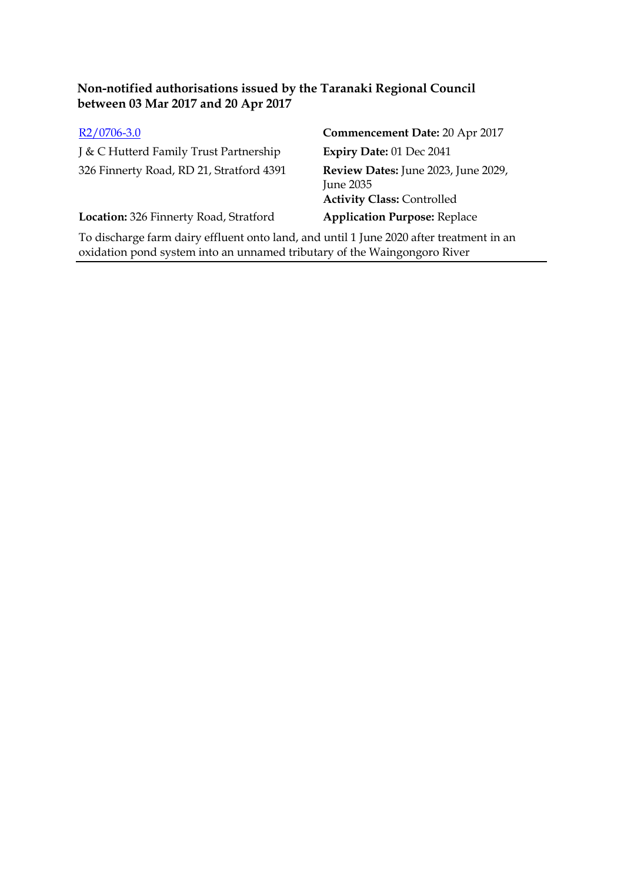| $R2/0706-3.0$                                                                                                     | Commencement Date: 20 Apr 2017                                                        |
|-------------------------------------------------------------------------------------------------------------------|---------------------------------------------------------------------------------------|
| J & C Hutterd Family Trust Partnership                                                                            | Expiry Date: 01 Dec 2041                                                              |
| 326 Finnerty Road, RD 21, Stratford 4391                                                                          | Review Dates: June 2023, June 2029,<br>June 2035<br><b>Activity Class: Controlled</b> |
| Location: 326 Finnerty Road, Stratford                                                                            | <b>Application Purpose: Replace</b>                                                   |
| The distribution of the distance of the second contribution of the distribution of the contribution of the second |                                                                                       |

To discharge farm dairy effluent onto land, and until 1 June 2020 after treatment in an oxidation pond system into an unnamed tributary of the Waingongoro River